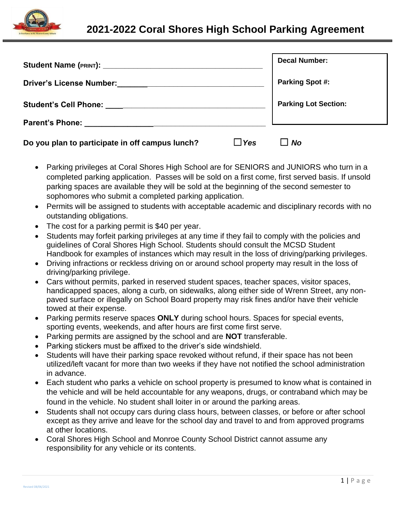

| Student Name (PRINT): Student Name (PRINT):                                         | <b>Decal Number:</b>        |
|-------------------------------------------------------------------------------------|-----------------------------|
| <b>Driver's License Number:</b><br><u> 2000 - Jan James James Barnett (f. 1982)</u> | <b>Parking Spot #:</b>      |
|                                                                                     | <b>Parking Lot Section:</b> |
|                                                                                     |                             |
| Do you plan to participate in off campus lunch?                                     | <b>Yes</b><br><b>No</b>     |

- Parking privileges at Coral Shores High School are for SENIORS and JUNIORS who turn in a completed parking application. Passes will be sold on a first come, first served basis. If unsold parking spaces are available they will be sold at the beginning of the second semester to sophomores who submit a completed parking application.
- Permits will be assigned to students with acceptable academic and disciplinary records with no outstanding obligations.
- The cost for a parking permit is \$40 per year.
- Students may forfeit parking privileges at any time if they fail to comply with the policies and guidelines of Coral Shores High School. Students should consult the MCSD Student Handbook for examples of instances which may result in the loss of driving/parking privileges.
- Driving infractions or reckless driving on or around school property may result in the loss of driving/parking privilege.
- Cars without permits, parked in reserved student spaces, teacher spaces, visitor spaces, handicapped spaces, along a curb, on sidewalks, along either side of Wrenn Street, any nonpaved surface or illegally on School Board property may risk fines and/or have their vehicle towed at their expense.
- Parking permits reserve spaces **ONLY** during school hours. Spaces for special events, sporting events, weekends, and after hours are first come first serve.
- Parking permits are assigned by the school and are **NOT** transferable.
- Parking stickers must be affixed to the driver's side windshield.
- Students will have their parking space revoked without refund, if their space has not been utilized/left vacant for more than two weeks if they have not notified the school administration in advance.
- Each student who parks a vehicle on school property is presumed to know what is contained in the vehicle and will be held accountable for any weapons, drugs, or contraband which may be found in the vehicle. No student shall loiter in or around the parking areas.
- Students shall not occupy cars during class hours, between classes, or before or after school except as they arrive and leave for the school day and travel to and from approved programs at other locations.
- Coral Shores High School and Monroe County School District cannot assume any responsibility for any vehicle or its contents.